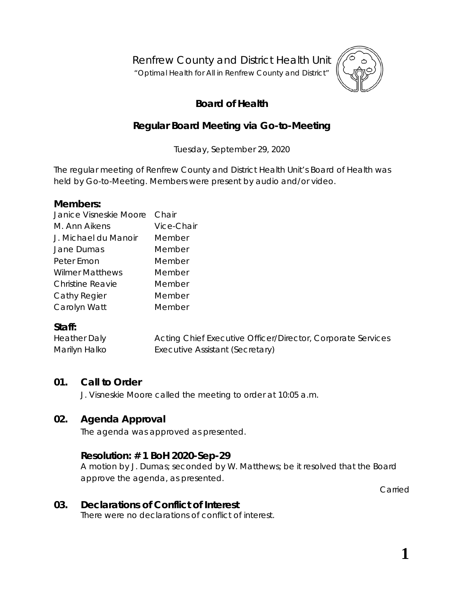Renfrew County and District Health Unit

"*Optimal Health for All in Renfrew County and District"*



# **Board of Health**

# **Regular Board Meeting via Go-to-Meeting**

Tuesday, September 29, 2020

The regular meeting of Renfrew County and District Health Unit's Board of Health was held by *Go-to-Meeting*. Members were present by audio and/or video.

#### **Members:**

| Janice Visneskie Moore | Chair      |
|------------------------|------------|
| M. Ann Aikens          | Vice-Chair |
| J. Michael du Manoir   | Member     |
| Jane Dumas             | Member     |
| Peter Emon             | Member     |
| <b>Wilmer Matthews</b> | Member     |
| Christine Reavie       | Member     |
| Cathy Regier           | Member     |
| Carolyn Watt           | Member     |
|                        |            |

#### **Staff:**

Heather Daly **Acting Chief Executive Officer/Director, Corporate Services** Marilyn Halko **Executive Assistant (Secretary)** 

#### **01. Call to Order**

J. Visneskie Moore called the meeting to order at 10:05 a.m.

## **02. Agenda Approval**

The agenda was approved as presented.

### **Resolution: # 1 BoH 2020-Sep-29**

A motion by J. Dumas; seconded by W. Matthews; be it resolved that the Board approve the agenda, as presented.

Carried

#### **03. Declarations of Conflict of Interest**

There were no declarations of conflict of interest.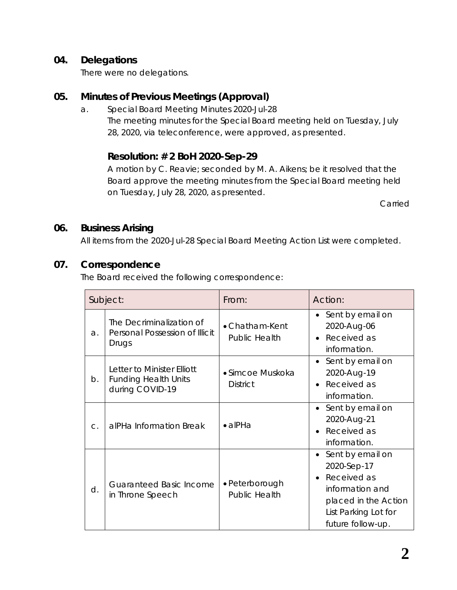### **04. Delegations**

There were no delegations.

# **05. Minutes of Previous Meetings (Approval)**

a. Special Board Meeting Minutes 2020-Jul-28 The meeting minutes for the Special Board meeting held on Tuesday, July 28, 2020, via teleconference, were approved, as presented.

# **Resolution: # 2 BoH 2020-Sep-29**

A motion by C. Reavie; seconded by M. A. Aikens; be it resolved that the Board approve the meeting minutes from the Special Board meeting held on Tuesday, July 28, 2020, as presented.

Carried

## **06. Business Arising**

All items from the 2020-Jul-28 Special Board Meeting Action List were completed.

### **07. Correspondence**

The Board received the following correspondence:

| Subject:       |                                                                              | From:                                       | Action:                                                                                                                                                          |
|----------------|------------------------------------------------------------------------------|---------------------------------------------|------------------------------------------------------------------------------------------------------------------------------------------------------------------|
| a.             | The Decriminalization of<br>Personal Possession of Illicit<br>Drugs          | • Chatham-Kent<br><b>Public Health</b>      | Sent by email on<br>$\bullet$<br>2020-Aug-06<br>• Received as<br>information.                                                                                    |
| b.             | Letter to Minister Filiott<br><b>Funding Health Units</b><br>during COVID-19 | $\bullet$ Simcoe Muskoka<br><b>District</b> | • Sent by email on<br>2020-Aug-19<br>Received as<br>information.                                                                                                 |
| $\mathsf{C}$ . | alPHa Information Break                                                      | $\bullet$ alPHa                             | • Sent by email on<br>2020-Aug-21<br>• Received as<br>information.                                                                                               |
| d.             | <b>Guaranteed Basic Income</b><br>in Throne Speech                           | • Peterborough<br><b>Public Health</b>      | Sent by email on<br>$\bullet$<br>2020-Sep-17<br>Received as<br>$\bullet$<br>information and<br>placed in the Action<br>List Parking Lot for<br>future follow-up. |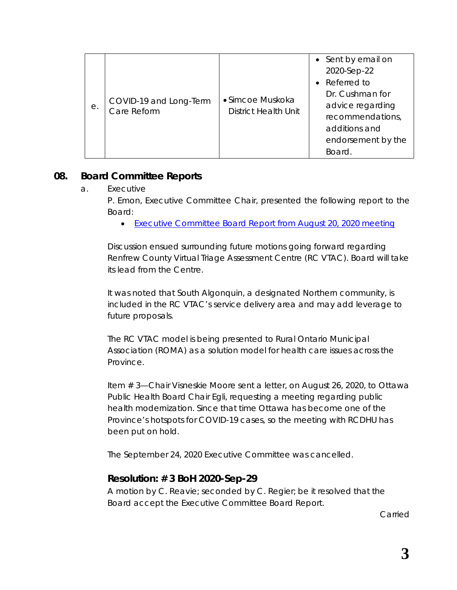| е. | COVID-19 and Long-Term<br>Care Reform | • Simcoe Muskoka<br><b>District Health Unit</b> | • Sent by email on<br>2020-Sep-22<br>• Referred to<br>Dr. Cushman for<br>advice regarding<br>recommendations,<br>additions and<br>endorsement by the<br>Board. |
|----|---------------------------------------|-------------------------------------------------|----------------------------------------------------------------------------------------------------------------------------------------------------------------|
|----|---------------------------------------|-------------------------------------------------|----------------------------------------------------------------------------------------------------------------------------------------------------------------|

### **08. Board Committee Reports**

#### a. Executive

P. Emon, Executive Committee Chair, presented the following report to the Board:

• [Executive Committee Board Report](https://www.rcdhu.com/wp-content/uploads/2020/11/09.-a.-Executive-Committee-Board-Report-2020-Aug-20.pdf) from August 20, 2020 meeting

Discussion ensued surrounding future motions going forward regarding Renfrew County Virtual Triage Assessment Centre (RC VTAC). Board will take its lead from the Centre.

It was noted that South Algonquin, a designated Northern community, is included in the RC VTAC's service delivery area and may add leverage to future proposals.

The RC VTAC model is being presented to Rural Ontario Municipal Association (ROMA) as a solution model for health care issues across the **Province** 

Item # 3—Chair Visneskie Moore sent a letter, on August 26, 2020, to Ottawa Public Health Board Chair Egli, requesting a meeting regarding public health modernization. Since that time Ottawa has become one of the Province's hotspots for COVID-19 cases, so the meeting with RCDHU has been put on hold.

The September 24, 2020 Executive Committee was cancelled.

## **Resolution: # 3 BoH 2020-Sep-29**

A motion by C. Reavie; seconded by C. Regier; be it resolved that the Board accept the Executive Committee Board Report.

Carried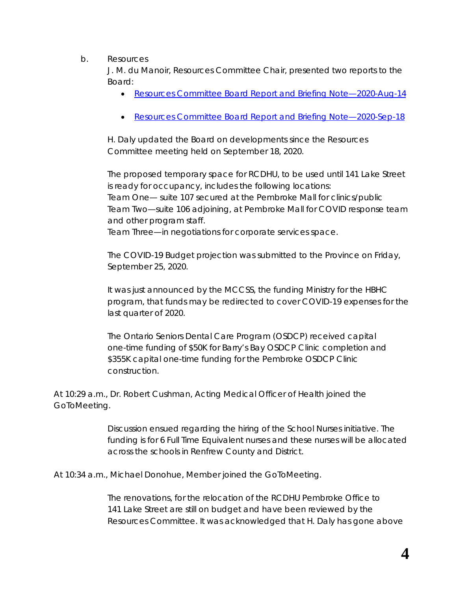b. Resources

J. M. du Manoir, Resources Committee Chair, presented two reports to the Board:

- [Resources Committee Board Report](https://www.rcdhu.com/wp-content/uploads/2020/11/09.-c.-Resources-Committee-Board-Report-August-2020.pdf) and Briefing Note—2020-Aug-14
- [Resources Committee Board Report](https://www.rcdhu.com/wp-content/uploads/2020/11/09.-d.-Resources-Committee-Board-Report-September-2020-with-Briefing-Note.pdf) and Briefing Note—2020-Sep-18

H. Daly updated the Board on developments since the Resources Committee meeting held on September 18, 2020.

The proposed temporary space for RCDHU, to be used until 141 Lake Street is ready for occupancy, includes the following locations: Team One— suite 107 secured at the Pembroke Mall for clinics/public Team Two—suite 106 adjoining, at Pembroke Mall for COVID response team and other program staff.

Team Three—in negotiations for corporate services space.

The COVID-19 Budget projection was submitted to the Province on Friday, September 25, 2020.

It was just announced by the MCCSS, the funding Ministry for the HBHC program, that funds may be redirected to cover COVID-19 expenses for the last quarter of 2020.

The Ontario Seniors Dental Care Program (OSDCP) received capital one-time funding of \$50K for Barry's Bay OSDCP Clinic completion and \$355K capital one-time funding for the Pembroke OSDCP Clinic construction.

At 10:29 a.m., Dr. Robert Cushman, Acting Medical Officer of Health joined the GoToMeeting.

> Discussion ensued regarding the hiring of the School Nurses initiative. The funding is for 6 Full Time Equivalent nurses and these nurses will be allocated across the schools in Renfrew County and District.

At 10:34 a.m., Michael Donohue, Member joined the GoToMeeting.

The renovations, for the relocation of the RCDHU Pembroke Office to 141 Lake Street are still on budget and have been reviewed by the Resources Committee. It was acknowledged that H. Daly has gone above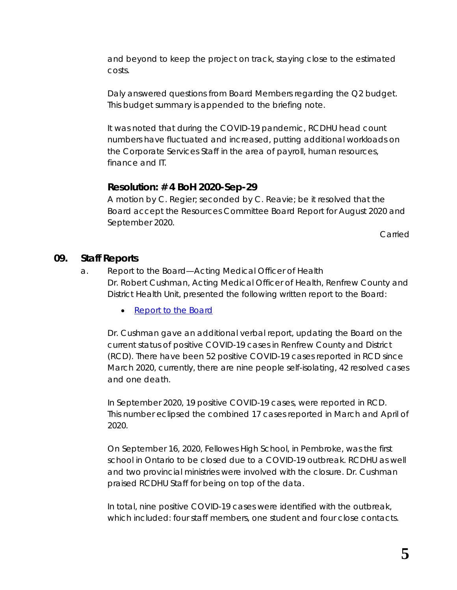and beyond to keep the project on track, staying close to the estimated costs.

Daly answered questions from Board Members regarding the Q2 budget. This budget summary is appended to the briefing note.

It was noted that during the COVID-19 pandemic, RCDHU head count numbers have fluctuated and increased, putting additional workloads on the Corporate Services Staff in the area of payroll, human resources, finance and IT.

## **Resolution: # 4 BoH 2020-Sep-29**

A motion by C. Regier; seconded by C. Reavie; be it resolved that the Board accept the Resources Committee Board Report for August 2020 and September 2020.

Carried

#### **09. Staff Reports**

- a. Report to the Board—Acting Medical Officer of Health Dr. Robert Cushman, Acting Medical Officer of Health, Renfrew County and District Health Unit, presented the following written report to the Board:
	- [Report to the Board](https://www.rcdhu.com/wp-content/uploads/2020/11/08.-a.-Report-to-the-Board-September-2020-Dr.-Robert-Cushman-with-stats.pdf)

Dr. Cushman gave an additional verbal report, updating the Board on the current status of positive COVID-19 cases in Renfrew County and District (RCD). There have been 52 positive COVID-19 cases reported in RCD since March 2020, currently, there are nine people self-isolating, 42 resolved cases and one death.

In September 2020, 19 positive COVID-19 cases, were reported in RCD. This number eclipsed the combined 17 cases reported in March and April of 2020.

On September 16, 2020, Fellowes High School, in Pembroke, was the first school in Ontario to be closed due to a COVID-19 outbreak. RCDHU as well and two provincial ministries were involved with the closure. Dr. Cushman praised RCDHU Staff for being on top of the data.

In total, nine positive COVID-19 cases were identified with the outbreak, which included: four staff members, one student and four close contacts.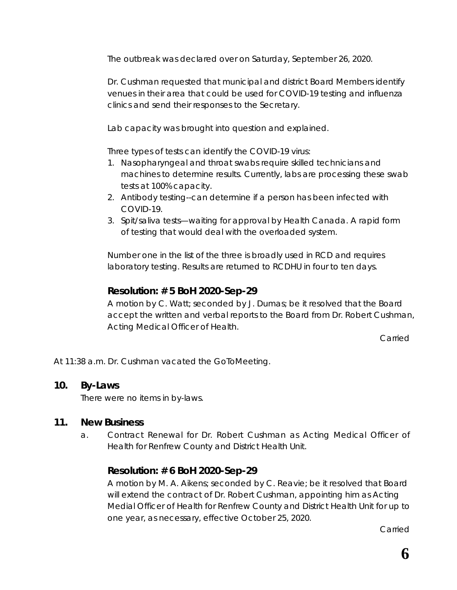The outbreak was declared over on Saturday, September 26, 2020.

Dr. Cushman requested that municipal and district Board Members identify venues in their area that could be used for COVID-19 testing and influenza clinics and send their responses to the Secretary.

Lab capacity was brought into question and explained.

Three types of tests can identify the COVID-19 virus:

- 1. Nasopharyngeal and throat swabs require skilled technicians and machines to determine results. Currently, labs are processing these swab tests at 100% capacity.
- 2. Antibody testing--can determine if a person has been infected with COVID-19.
- 3. Spit/saliva tests—waiting for approval by Health Canada. A rapid form of testing that would deal with the overloaded system.

Number one in the list of the three is broadly used in RCD and requires laboratory testing. Results are returned to RCDHU in four to ten days.

# **Resolution: # 5 BoH 2020-Sep-29**

A motion by C. Watt; seconded by J. Dumas; be it resolved that the Board accept the written and verbal reports to the Board from Dr. Robert Cushman, Acting Medical Officer of Health.

Carried

At 11:38 a.m. Dr. Cushman vacated the GoToMeeting.

#### **10. By-Laws**

There were no items in by-laws.

#### **11. New Business**

a. Contract Renewal for Dr. Robert Cushman as Acting Medical Officer of Health for Renfrew County and District Health Unit.

## **Resolution: # 6 BoH 2020-Sep-29**

A motion by M. A. Aikens; seconded by C. Reavie; be it resolved that Board will extend the contract of Dr. Robert Cushman, appointing him as Acting Medial Officer of Health for Renfrew County and District Health Unit for up to one year, as necessary, effective October 25, 2020.

Carried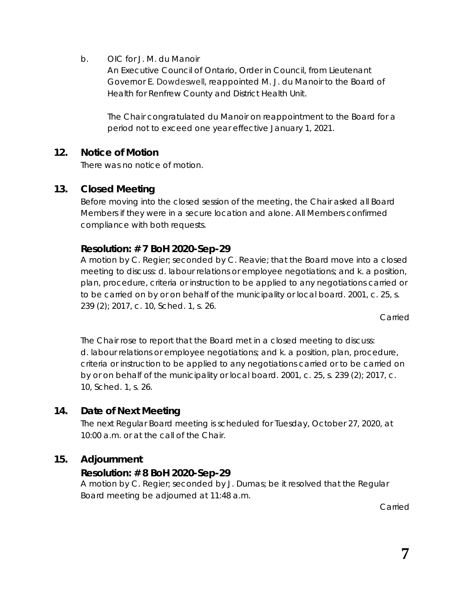b. OIC for J. M. du Manoir

An Executive Council of Ontario, Order in Council, from Lieutenant Governor E. Dowdeswell, reappointed M. J. du Manoir to the Board of Health for Renfrew County and District Health Unit.

The Chair congratulated du Manoir on reappointment to the Board for a period not to exceed one year effective January 1, 2021.

## **12. Notice of Motion**

There was no notice of motion.

## **13. Closed Meeting**

Before moving into the closed session of the meeting, the Chair asked all Board Members if they were in a secure location and alone. All Members confirmed compliance with both requests.

### **Resolution: # 7 BoH 2020-Sep-29**

A motion by C. Regier; seconded by C. Reavie; that the Board move into a closed meeting to discuss: d. labour relations or employee negotiations; and k. a position, plan, procedure, criteria or instruction to be applied to any negotiations carried or to be carried on by or on behalf of the municipality or local board. 2001, c. 25, s. 239 (2); 2017, c. 10, Sched. 1, s. 26.

Carried

The Chair rose to report that the Board met in a closed meeting to discuss: d. labour relations or employee negotiations; and k. a position, plan, procedure, criteria or instruction to be applied to any negotiations carried or to be carried on by or on behalf of the municipality or local board. 2001, c. 25, s. 239 (2); 2017, c. 10, Sched. 1, s. 26.

## **14. Date of Next Meeting**

The next Regular Board meeting is scheduled for Tuesday, October 27, 2020, at 10:00 a.m. or at the call of the Chair.

#### **15. Adjournment**

#### **Resolution: # 8 BoH 2020-Sep-29**

A motion by C. Regier; seconded by J. Dumas; be it resolved that the Regular Board meeting be adjourned at 11:48 a.m.

Carried